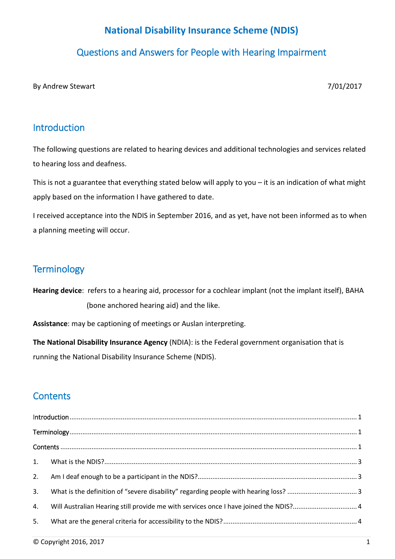# **National Disability Insurance Scheme (NDIS)**

## Questions and Answers for People with Hearing Impairment

By Andrew Stewart 7/01/2017

## <span id="page-0-0"></span>Introduction

The following questions are related to hearing devices and additional technologies and services related to hearing loss and deafness.

This is not a guarantee that everything stated below will apply to you – it is an indication of what might apply based on the information I have gathered to date.

I received acceptance into the NDIS in September 2016, and as yet, have not been informed as to when a planning meeting will occur.

## <span id="page-0-1"></span>**Terminology**

**Hearing device**: refers to a hearing aid, processor for a cochlear implant (not the implant itself), BAHA (bone anchored hearing aid) and the like.

**Assistance**: may be captioning of meetings or Auslan interpreting.

**The National Disability Insurance Agency** (NDIA): is the Federal government organisation that is running the National Disability Insurance Scheme (NDIS).

# <span id="page-0-2"></span>**Contents**

| 2. |                                                                                       |  |  |
|----|---------------------------------------------------------------------------------------|--|--|
| 3. |                                                                                       |  |  |
| 4. | Will Australian Hearing still provide me with services once I have joined the NDIS? 4 |  |  |
| 5. |                                                                                       |  |  |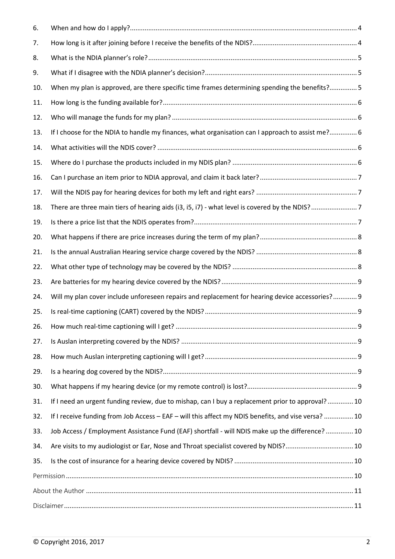| 6.  |                                                                                                     |  |
|-----|-----------------------------------------------------------------------------------------------------|--|
| 7.  |                                                                                                     |  |
| 8.  |                                                                                                     |  |
| 9.  |                                                                                                     |  |
| 10. | When my plan is approved, are there specific time frames determining spending the benefits? 5       |  |
| 11. |                                                                                                     |  |
| 12. |                                                                                                     |  |
| 13. | If I choose for the NDIA to handle my finances, what organisation can I approach to assist me? 6    |  |
| 14. |                                                                                                     |  |
| 15. |                                                                                                     |  |
| 16. |                                                                                                     |  |
| 17. |                                                                                                     |  |
| 18. |                                                                                                     |  |
| 19. |                                                                                                     |  |
| 20. |                                                                                                     |  |
| 21. |                                                                                                     |  |
| 22. |                                                                                                     |  |
| 23. |                                                                                                     |  |
| 24. | Will my plan cover include unforeseen repairs and replacement for hearing device accessories? 9     |  |
| 25. |                                                                                                     |  |
| 26. |                                                                                                     |  |
| 27. |                                                                                                     |  |
| 28. |                                                                                                     |  |
| 29. |                                                                                                     |  |
| 30. |                                                                                                     |  |
| 31. | If I need an urgent funding review, due to mishap, can I buy a replacement prior to approval? 10    |  |
| 32. | If I receive funding from Job Access - EAF - will this affect my NDIS benefits, and vise versa?  10 |  |
| 33. | Job Access / Employment Assistance Fund (EAF) shortfall - will NDIS make up the difference?  10     |  |
| 34. | Are visits to my audiologist or Ear, Nose and Throat specialist covered by NDIS? 10                 |  |
| 35. |                                                                                                     |  |
|     |                                                                                                     |  |
|     |                                                                                                     |  |
|     |                                                                                                     |  |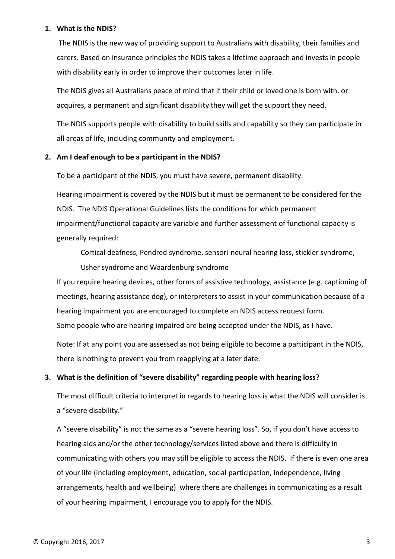#### <span id="page-2-0"></span>**1. What is the NDIS?**

The NDIS is the new way of providing support to Australians with disability, their families and carers. Based on insurance principles the NDIS takes a lifetime approach and invests in people with disability early in order to improve their outcomes later in life.

The NDIS gives all Australians peace of mind that if their child or loved one is born with, or acquires, a permanent and significant disability they will get the support they need.

The NDIS supports people with disability to build skills and capability so they can participate in all areas of life, including community and employment.

### <span id="page-2-1"></span>**2. Am I deaf enough to be a participant in the NDIS?**

To be a participant of the NDIS, you must have severe, permanent disability.

Hearing impairment is covered by the NDIS but it must be permanent to be considered for the NDIS. The NDIS Operational Guidelines lists the conditions for which permanent impairment/functional capacity are variable and further assessment of functional capacity is generally required:

Cortical deafness, Pendred syndrome, sensori-neural hearing loss, stickler syndrome,

Usher syndrome and Waardenburg syndrome

If you require hearing devices, other forms of assistive technology, assistance (e.g. captioning of meetings, hearing assistance dog), or interpreters to assist in your communication because of a hearing impairment you are encouraged to complete an NDIS access request form. Some people who are hearing impaired are being accepted under the NDIS, as I have.

Note: If at any point you are assessed as not being eligible to become a participant in the NDIS, there is nothing to prevent you from reapplying at a later date.

### <span id="page-2-2"></span>**3. What is the definition of "severe disability" regarding people with hearing loss?**

The most difficult criteria to interpret in regards to hearing loss is what the NDIS will consider is a "severe disability."

A "severe disability" is not the same as a "severe hearing loss". So, if you don't have access to hearing aids and/or the other technology/services listed above and there is difficulty in communicating with others you may still be eligible to access the NDIS. If there is even one area of your life (including employment, education, social participation, independence, living arrangements, health and wellbeing) where there are challenges in communicating as a result of your hearing impairment, I encourage you to apply for the NDIS.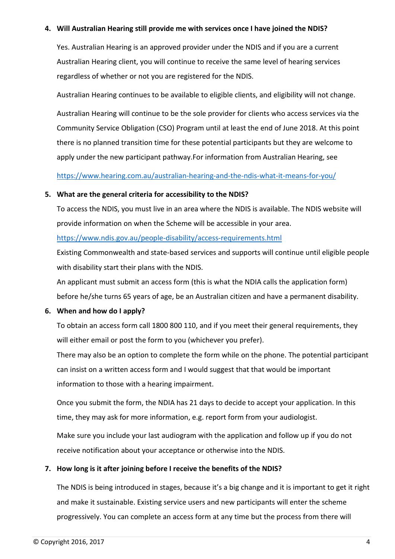#### <span id="page-3-0"></span>**4. Will Australian Hearing still provide me with services once I have joined the NDIS?**

Yes. Australian Hearing is an approved provider under the NDIS and if you are a current Australian Hearing client, you will continue to receive the same level of hearing services regardless of whether or not you are registered for the NDIS.

Australian Hearing continues to be available to eligible clients, and eligibility will not change.

Australian Hearing will continue to be the sole provider for clients who access services via the Community Service Obligation (CSO) Program until at least the end of June 2018. At this point there is no planned transition time for these potential participants but they are welcome to apply under the new participant pathway.For information from Australian Hearing, see

<span id="page-3-1"></span><https://www.hearing.com.au/australian-hearing-and-the-ndis-what-it-means-for-you/>

#### **5. What are the general criteria for accessibility to the NDIS?**

To access the NDIS, you must live in an area where the NDIS is available. The NDIS website will provide information on when the Scheme will be accessible in your area.

#### <https://www.ndis.gov.au/people-disability/access-requirements.html>

[Existing Commonwealth and state-based services and supports](https://www.ndis.gov.au/people-disability/other-services.html) will continue until eligible people with disability start their plans with the NDIS.

An applicant must submit an access form (this is what the NDIA calls the application form) before he/she turns 65 years of age, be an Australian citizen and have a permanent disability.

#### <span id="page-3-2"></span>**6. When and how do I apply?**

To obtain an access form call 1800 800 110, and if you meet their general requirements, they will either email or post the form to you (whichever you prefer).

There may also be an option to complete the form while on the phone. The potential participant can insist on a written access form and I would suggest that that would be important information to those with a hearing impairment.

Once you submit the form, the NDIA has 21 days to decide to accept your application. In this time, they may ask for more information, e.g. report form from your audiologist.

Make sure you include your last audiogram with the application and follow up if you do not receive notification about your acceptance or otherwise into the NDIS.

### <span id="page-3-3"></span>**7. How long is it after joining before I receive the benefits of the NDIS?**

The NDIS is being introduced in stages, because it's a big change and it is important to get it right and make it sustainable. Existing service users and new participants will enter the scheme progressively. You can complete an access form at any time but the process from there will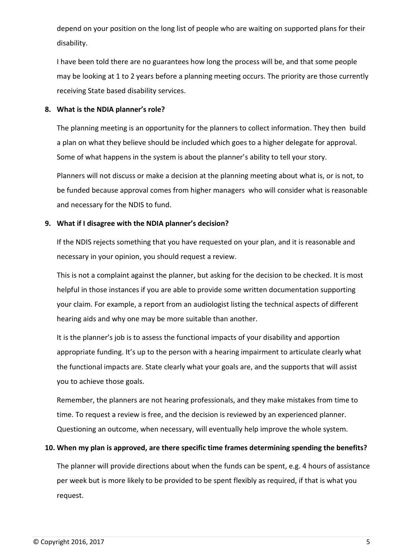depend on your position on the long list of people who are waiting on supported plans for their disability.

I have been told there are no guarantees how long the process will be, and that some people may be looking at 1 to 2 years before a planning meeting occurs. The priority are those currently receiving State based disability services.

#### <span id="page-4-1"></span><span id="page-4-0"></span>**8. What is the NDIA planner's role?**

The planning meeting is an opportunity for the planners to collect information. They then build a plan on what they believe should be included which goes to a higher delegate for approval. Some of what happens in the system is about the planner's ability to tell your story.

Planners will not discuss or make a decision at the planning meeting about what is, or is not, to be funded because approval comes from higher managers who will consider what is reasonable and necessary for the NDIS to fund.

### <span id="page-4-2"></span>**9. What if I disagree with the NDIA planner's decision?**

If the NDIS rejects something that you have requested on your plan, and it is reasonable and necessary in your opinion, you should request a review.

This is not a complaint against the planner, but asking for the decision to be checked. It is most helpful in those instances if you are able to provide some written documentation supporting your claim. For example, a report from an audiologist listing the technical aspects of different hearing aids and why one may be more suitable than another.

It is the planner's job is to assess the functional impacts of your disability and apportion appropriate funding. It's up to the person with a hearing impairment to articulate clearly what the functional impacts are. State clearly what your goals are, and the supports that will assist you to achieve those goals.

Remember, the planners are not hearing professionals, and they make mistakes from time to time. To request a review is free, and the decision is reviewed by an experienced planner. Questioning an outcome, when necessary, will eventually help improve the whole system.

### <span id="page-4-3"></span>**10. When my plan is approved, are there specific time frames determining spending the benefits?**

The planner will provide directions about when the funds can be spent, e.g. 4 hours of assistance per week but is more likely to be provided to be spent flexibly as required, if that is what you request.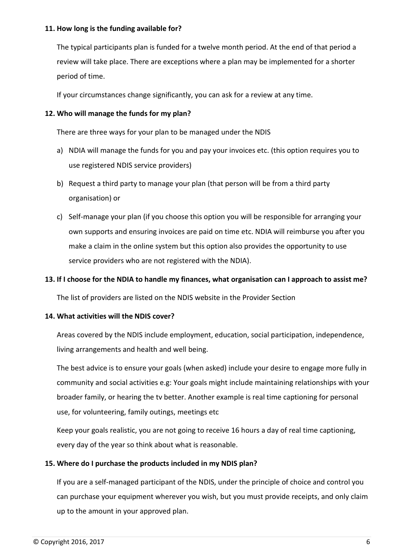#### <span id="page-5-0"></span>**11. How long is the funding available for?**

The typical participants plan is funded for a twelve month period. At the end of that period a review will take place. There are exceptions where a plan may be implemented for a shorter period of time.

<span id="page-5-1"></span>If your circumstances change significantly, you can ask for a review at any time.

#### **12. Who will manage the funds for my plan?**

There are three ways for your plan to be managed under the NDIS

- a) NDIA will manage the funds for you and pay your invoices etc. (this option requires you to use registered NDIS service providers)
- b) Request a third party to manage your plan (that person will be from a third party organisation) or
- c) Self-manage your plan (if you choose this option you will be responsible for arranging your own supports and ensuring invoices are paid on time etc. NDIA will reimburse you after you make a claim in the online system but this option also provides the opportunity to use service providers who are not registered with the NDIA).

#### <span id="page-5-2"></span>**13. If I choose for the NDIA to handle my finances, what organisation can I approach to assist me?**

<span id="page-5-3"></span>The list of providers are listed on the NDIS website in the Provider Section

#### **14. What activities will the NDIS cover?**

Areas covered by the NDIS include employment, education, social participation, independence, living arrangements and health and well being.

The best advice is to ensure your goals (when asked) include your desire to engage more fully in community and social activities e.g: Your goals might include maintaining relationships with your broader family, or hearing the tv better. Another example is real time captioning for personal use, for volunteering, family outings, meetings etc

Keep your goals realistic, you are not going to receive 16 hours a day of real time captioning, every day of the year so think about what is reasonable.

#### <span id="page-5-4"></span>**15. Where do I purchase the products included in my NDIS plan?**

If you are a self-managed participant of the NDIS, under the principle of choice and control you can purchase your equipment wherever you wish, but you must provide receipts, and only claim up to the amount in your approved plan.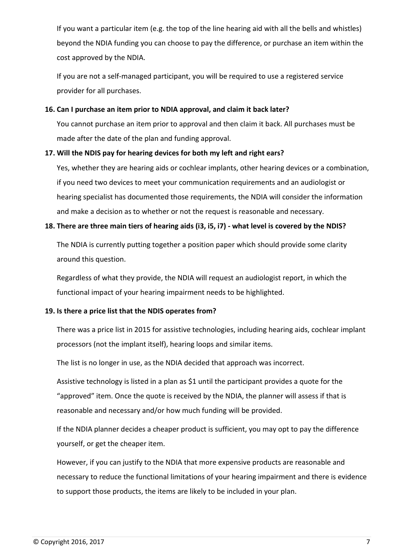If you want a particular item (e.g. the top of the line hearing aid with all the bells and whistles) beyond the NDIA funding you can choose to pay the difference, or purchase an item within the cost approved by the NDIA.

If you are not a self-managed participant, you will be required to use a registered service provider for all purchases.

#### <span id="page-6-1"></span><span id="page-6-0"></span>**16. Can I purchase an item prior to NDIA approval, and claim it back later?**

You cannot purchase an item prior to approval and then claim it back. All purchases must be made after the date of the plan and funding approval.

#### <span id="page-6-2"></span>**17. Will the NDIS pay for hearing devices for both my left and right ears?**

Yes, whether they are hearing aids or cochlear implants, other hearing devices or a combination, if you need two devices to meet your communication requirements and an audiologist or hearing specialist has documented those requirements, the NDIA will consider the information and make a decision as to whether or not the request is reasonable and necessary.

#### <span id="page-6-3"></span>**18. There are three main tiers of hearing aids (i3, i5, i7) - what level is covered by the NDIS?**

The NDIA is currently putting together a position paper which should provide some clarity around this question.

Regardless of what they provide, the NDIA will request an audiologist report, in which the functional impact of your hearing impairment needs to be highlighted.

### <span id="page-6-4"></span>**19. Is there a price list that the NDIS operates from?**

There was a price list in 2015 for assistive technologies, including hearing aids, cochlear implant processors (not the implant itself), hearing loops and similar items.

The list is no longer in use, as the NDIA decided that approach was incorrect.

Assistive technology is listed in a plan as \$1 until the participant provides a quote for the "approved" item. Once the quote is received by the NDIA, the planner will assess if that is reasonable and necessary and/or how much funding will be provided.

If the NDIA planner decides a cheaper product is sufficient, you may opt to pay the difference yourself, or get the cheaper item.

However, if you can justify to the NDIA that more expensive products are reasonable and necessary to reduce the functional limitations of your hearing impairment and there is evidence to support those products, the items are likely to be included in your plan.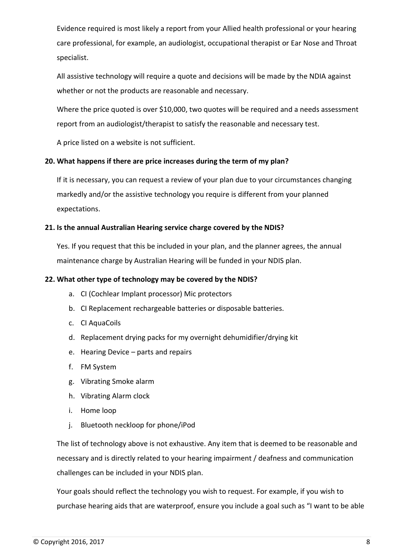Evidence required is most likely a report from your Allied health professional or your hearing care professional, for example, an audiologist, occupational therapist or Ear Nose and Throat specialist.

All assistive technology will require a quote and decisions will be made by the NDIA against whether or not the products are reasonable and necessary.

Where the price quoted is over \$10,000, two quotes will be required and a needs assessment report from an audiologist/therapist to satisfy the reasonable and necessary test.

<span id="page-7-0"></span>A price listed on a website is not sufficient.

## **20. What happens if there are price increases during the term of my plan?**

If it is necessary, you can request a review of your plan due to your circumstances changing markedly and/or the assistive technology you require is different from your planned expectations.

### <span id="page-7-1"></span>**21. Is the annual Australian Hearing service charge covered by the NDIS?**

Yes. If you request that this be included in your plan, and the planner agrees, the annual maintenance charge by Australian Hearing will be funded in your NDIS plan.

### <span id="page-7-2"></span>**22. What other type of technology may be covered by the NDIS?**

- a. CI (Cochlear Implant processor) Mic protectors
- b. CI Replacement rechargeable batteries or disposable batteries.
- c. CI AquaCoils
- d. Replacement drying packs for my overnight dehumidifier/drying kit
- e. Hearing Device parts and repairs
- f. FM System
- g. Vibrating Smoke alarm
- h. Vibrating Alarm clock
- i. Home loop
- j. Bluetooth neckloop for phone/iPod

The list of technology above is not exhaustive. Any item that is deemed to be reasonable and necessary and is directly related to your hearing impairment / deafness and communication challenges can be included in your NDIS plan.

Your goals should reflect the technology you wish to request. For example, if you wish to purchase hearing aids that are waterproof, ensure you include a goal such as "I want to be able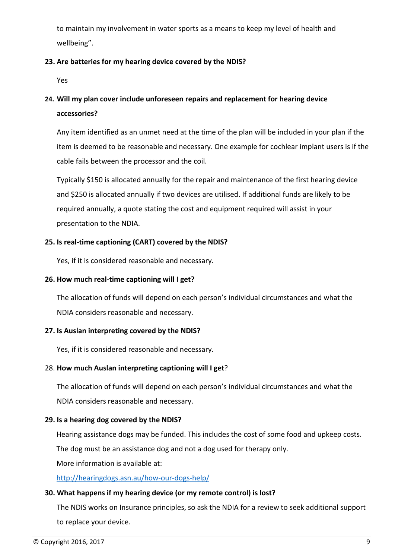to maintain my involvement in water sports as a means to keep my level of health and wellbeing".

## <span id="page-8-0"></span>**23. Are batteries for my hearing device covered by the NDIS?**

<span id="page-8-1"></span>Yes

## **24. Will my plan cover include unforeseen repairs and replacement for hearing device accessories?**

Any item identified as an unmet need at the time of the plan will be included in your plan if the item is deemed to be reasonable and necessary. One example for cochlear implant users is if the cable fails between the processor and the coil.

Typically \$150 is allocated annually for the repair and maintenance of the first hearing device and \$250 is allocated annually if two devices are utilised. If additional funds are likely to be required annually, a quote stating the cost and equipment required will assist in your presentation to the NDIA.

## <span id="page-8-2"></span>**25. Is real-time captioning (CART) covered by the NDIS?**

<span id="page-8-3"></span>Yes, if it is considered reasonable and necessary.

### **26. How much real-time captioning will I get?**

The allocation of funds will depend on each person's individual circumstances and what the NDIA considers reasonable and necessary.

### <span id="page-8-4"></span>**27. Is Auslan interpreting covered by the NDIS?**

<span id="page-8-5"></span>Yes, if it is considered reasonable and necessary.

### 28. **How much Auslan interpreting captioning will I get**?

The allocation of funds will depend on each person's individual circumstances and what the NDIA considers reasonable and necessary.

### <span id="page-8-6"></span>**29. Is a hearing dog covered by the NDIS?**

Hearing assistance dogs may be funded. This includes the cost of some food and upkeep costs. The dog must be an assistance dog and not a dog used for therapy only.

More information is available at:

<span id="page-8-7"></span><http://hearingdogs.asn.au/how-our-dogs-help/>

### **30. What happens if my hearing device (or my remote control) is lost?**

The NDIS works on Insurance principles, so ask the NDIA for a review to seek additional support to replace your device.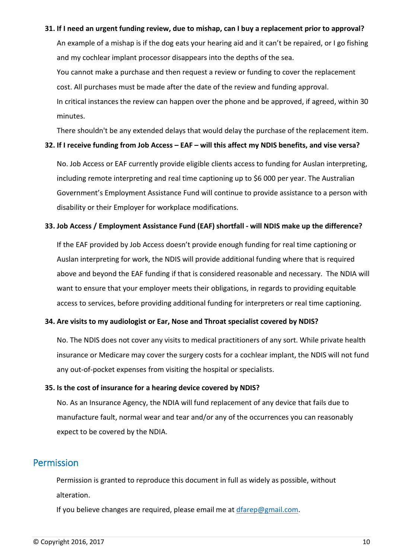#### <span id="page-9-0"></span>**31. If I need an urgent funding review, due to mishap, can I buy a replacement prior to approval?**

An example of a mishap is if the dog eats your hearing aid and it can't be repaired, or I go fishing and my cochlear implant processor disappears into the depths of the sea.

You cannot make a purchase and then request a review or funding to cover the replacement cost. All purchases must be made after the date of the review and funding approval.

In critical instances the review can happen over the phone and be approved, if agreed, within 30 minutes.

<span id="page-9-1"></span>There shouldn't be any extended delays that would delay the purchase of the replacement item.

#### **32. If I receive funding from Job Access – EAF – will this affect my NDIS benefits, and vise versa?**

No. Job Access or EAF currently provide eligible clients access to funding for Auslan interpreting, including remote interpreting and real time captioning up to \$6 000 per year. The Australian Government's Employment Assistance Fund will continue to provide assistance to a person with disability or their Employer for workplace modifications.

#### <span id="page-9-2"></span>**33. Job Access / Employment Assistance Fund (EAF) shortfall - will NDIS make up the difference?**

If the EAF provided by Job Access doesn't provide enough funding for real time captioning or Auslan interpreting for work, the NDIS will provide additional funding where that is required above and beyond the EAF funding if that is considered reasonable and necessary. The NDIA will want to ensure that your employer meets their obligations, in regards to providing equitable access to services, before providing additional funding for interpreters or real time captioning.

#### <span id="page-9-3"></span>**34. Are visits to my audiologist or Ear, Nose and Throat specialist covered by NDIS?**

No. The NDIS does not cover any visits to medical practitioners of any sort. While private health insurance or Medicare may cover the surgery costs for a cochlear implant, the NDIS will not fund any out-of-pocket expenses from visiting the hospital or specialists.

#### <span id="page-9-4"></span>**35. Is the cost of insurance for a hearing device covered by NDIS?**

No. As an Insurance Agency, the NDIA will fund replacement of any device that fails due to manufacture fault, normal wear and tear and/or any of the occurrences you can reasonably expect to be covered by the NDIA.

## <span id="page-9-5"></span>Permission

Permission is granted to reproduce this document in full as widely as possible, without alteration.

If you believe changes are required, please email me at [dfarep@gmail.com.](mailto:dfarep@gmail.com)